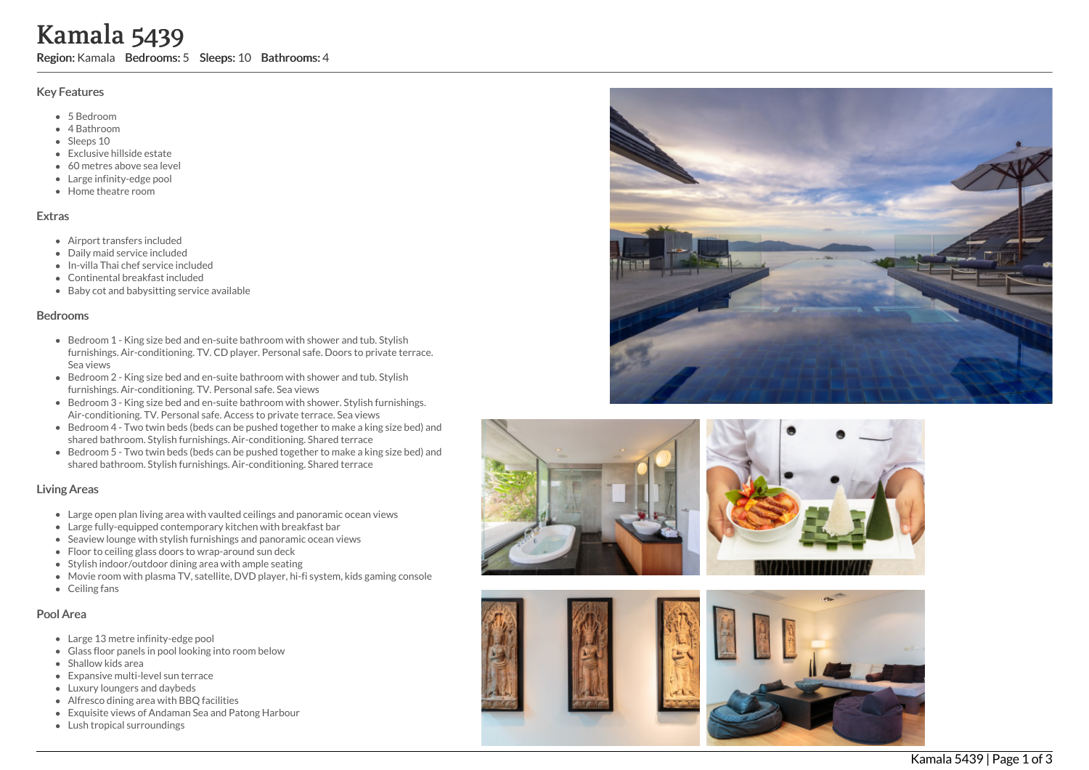# K a m a l a 5 4 3 9

Region: Kamala Bedrooms: 5 Sleeps: 10 Bathrooms: 4

## Key Features

- 5 B e d r o o m
- 4 Bathroom
- Sleeps 10
- Exclusive hillside estate
- 60 metres above sea level
- Large infinity-edge pool
- Home theatre room

#### **Extras**

- Airport transfers included
- Daily maid service included
- In-villa Thai chef service inclu d e d
- Continental breakfast included
- Baby cot and babysitting service available

#### **Bedrooms**

- Bedroom 1 King size bed and en-suite bathroom with shower and tub. Stylish furnishings. Air-conditioning. TV. CD player. Personal safe. Doors to private terrace. Sea views
- Bedroom 2 King size bed and en-suite bathroom with shower and tub. Stylish furnishings. Air-conditioning. TV. Personal safe. Sea views
- Bedroom 3 King size bed and en-suite bathroom with shower. Stylish furnishings. Air-conditioning. TV. Personal safe. Access to private terrace. Sea views
- Bedroom 4 Two twin beds (beds can be pushed together to make a king size bed) an d shared bathroom. Stylish furnishings. Air-conditioning. Shared terrace
- Bedroom 5 Two twin beds (beds can be pushed together to make a king size bed) and shared bathroom. Stylish furnishings. Air-conditioning. Shared terrace

## Living Areas

- Large open plan living area with vaulted ceilings and panoramic ocean views
- Large fully-equipped contemporary kitchen with breakfast bar
- Seaview lounge with stylish furnishings and panoramic ocean views
- Floor to ceiling glass doors to wrap-around sun deck
- Stylish indoor/outdoor dining area with ample seating
- Movie room with plasma TV, satellite, DVD player, hi-fi system, kids gaming console
- C eilin g f a n s

## Pool Area

- Large 13 metre infinity-edge pool
- Glass floor panels in pool looking into room below
- S h allo w kid s a r e a
- Expansive multi-level sun terrace
- Luxury loungers and daybeds
- Alfresco dining area with BBQ facilities
- Exquisite views of Andaman Sea and Patong Harbour
- Lush tropical surroundings





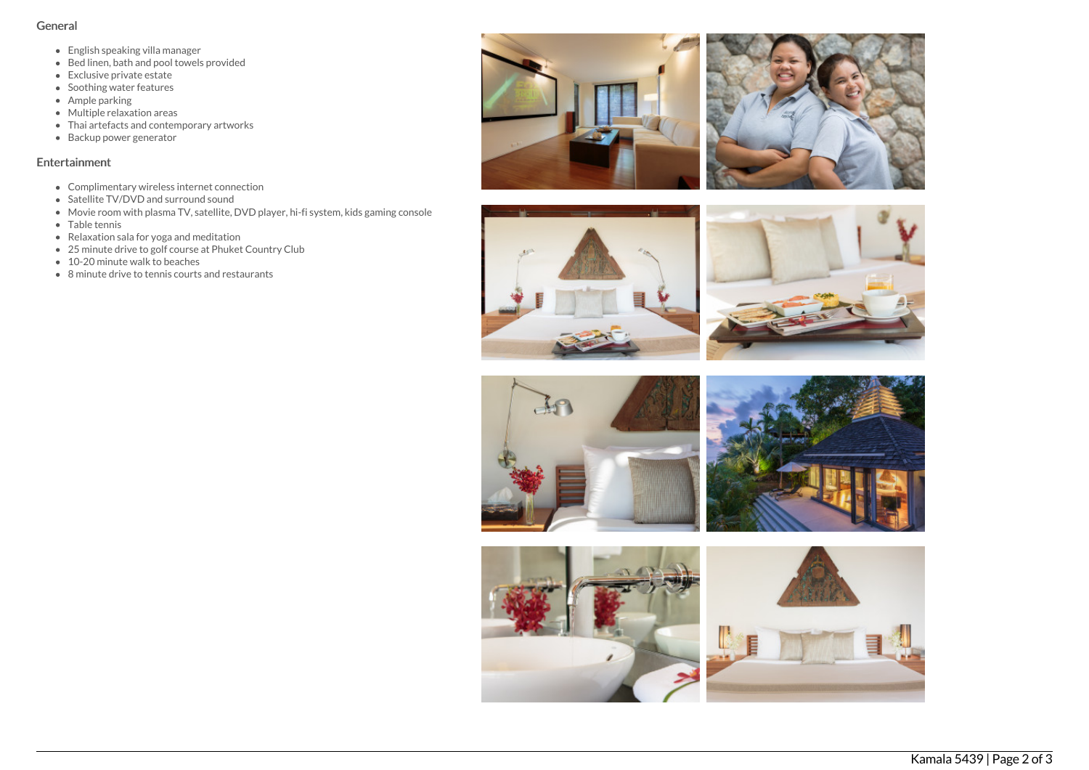## General

- English speaking villa manager
- $\bullet$  Bed linen, bath and pool towels provided
- Exclusive private estate
- Soothing water features
- Ample parking
- Multiple relaxation areas
- Thai artefacts and contemporary artworks
- Backup power generator

## Entertainment

- Complimentary wireless internet connection
- Satellite TV/DVD and surround sound
- Movie room with plasma TV, satellite, DVD player, hi-fi system, kids gaming console
- Table tennis
- Relaxation sala for yoga and meditation
- 25 minute drive to golf course at Phuket Country Club
- 10-20 minute walk to beaches
- 8 minute drive to tennis courts and restaurants